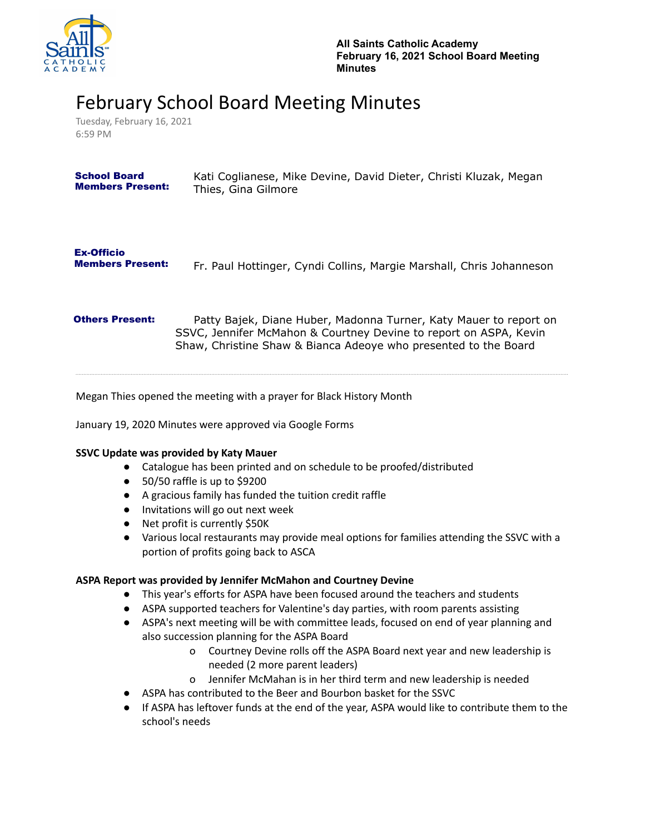

# February School Board Meeting Minutes

Tuesday, February 16, 2021 6:59 PM

| <b>School Board</b>                          | Kati Coglianese, Mike Devine, David Dieter, Christi Kluzak, Megan    |
|----------------------------------------------|----------------------------------------------------------------------|
| <b>Members Present:</b>                      | Thies, Gina Gilmore                                                  |
| <b>Ex-Officio</b><br><b>Members Present:</b> | Fr. Paul Hottinger, Cyndi Collins, Margie Marshall, Chris Johanneson |

**Others Present:** Patty Bajek, Diane Huber, Madonna Turner, Katy Mauer to report on SSVC, Jennifer McMahon & Courtney Devine to report on ASPA, Kevin Shaw, Christine Shaw & Bianca Adeoye who presented to the Board

Megan Thies opened the meeting with a prayer for Black History Month

January 19, 2020 Minutes were approved via Google Forms

## **SSVC Update was provided by Katy Mauer**

- Catalogue has been printed and on schedule to be proofed/distributed
- 50/50 raffle is up to \$9200
- A gracious family has funded the tuition credit raffle
- Invitations will go out next week
- Net profit is currently \$50K
- Various local restaurants may provide meal options for families attending the SSVC with a portion of profits going back to ASCA

## **ASPA Report was provided by Jennifer McMahon and Courtney Devine**

- This year's efforts for ASPA have been focused around the teachers and students
- ASPA supported teachers for Valentine's day parties, with room parents assisting
- ASPA's next meeting will be with committee leads, focused on end of year planning and also succession planning for the ASPA Board
	- o Courtney Devine rolls off the ASPA Board next year and new leadership is needed (2 more parent leaders)
	- o Jennifer McMahan is in her third term and new leadership is needed
- ASPA has contributed to the Beer and Bourbon basket for the SSVC
- If ASPA has leftover funds at the end of the year, ASPA would like to contribute them to the school's needs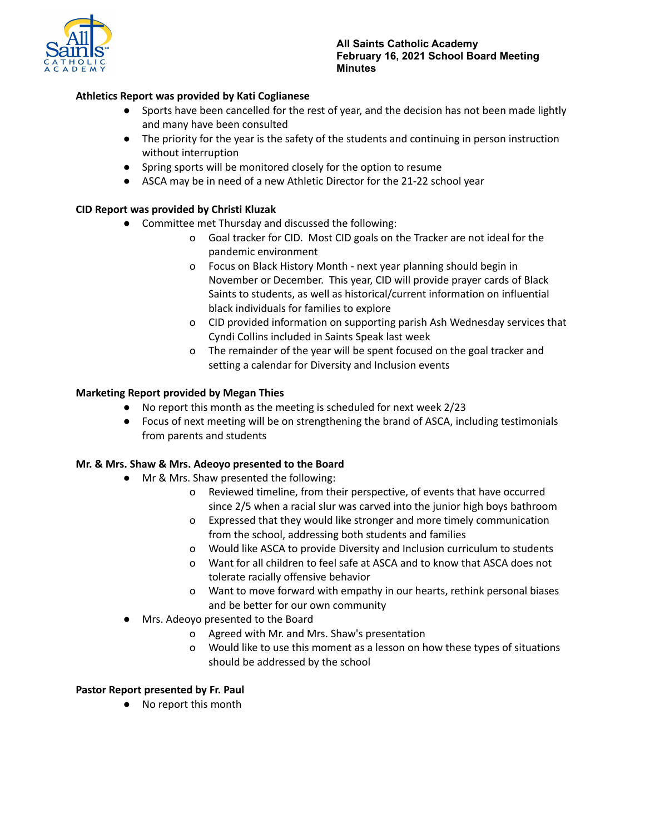

## **Athletics Report was provided by Kati Coglianese**

- Sports have been cancelled for the rest of year, and the decision has not been made lightly and many have been consulted
- The priority for the year is the safety of the students and continuing in person instruction without interruption
- Spring sports will be monitored closely for the option to resume
- ASCA may be in need of a new Athletic Director for the 21-22 school year

## **CID Report was provided by Christi Kluzak**

- Committee met Thursday and discussed the following:
	- o Goal tracker for CID. Most CID goals on the Tracker are not ideal for the pandemic environment
	- o Focus on Black History Month next year planning should begin in November or December. This year, CID will provide prayer cards of Black Saints to students, as well as historical/current information on influential black individuals for families to explore
	- o CID provided information on supporting parish Ash Wednesday services that Cyndi Collins included in Saints Speak last week
	- o The remainder of the year will be spent focused on the goal tracker and setting a calendar for Diversity and Inclusion events

## **Marketing Report provided by Megan Thies**

- No report this month as the meeting is scheduled for next week 2/23
- Focus of next meeting will be on strengthening the brand of ASCA, including testimonials from parents and students

## **Mr. & Mrs. Shaw & Mrs. Adeoyo presented to the Board**

- Mr & Mrs. Shaw presented the following:
	- o Reviewed timeline, from their perspective, of events that have occurred since 2/5 when a racial slur was carved into the junior high boys bathroom
	- o Expressed that they would like stronger and more timely communication from the school, addressing both students and families
	- o Would like ASCA to provide Diversity and Inclusion curriculum to students
	- o Want for all children to feel safe at ASCA and to know that ASCA does not tolerate racially offensive behavior
	- o Want to move forward with empathy in our hearts, rethink personal biases and be better for our own community
- Mrs. Adeoyo presented to the Board
	- o Agreed with Mr. and Mrs. Shaw's presentation
	- o Would like to use this moment as a lesson on how these types of situations should be addressed by the school

#### **Pastor Report presented by Fr. Paul**

● No report this month